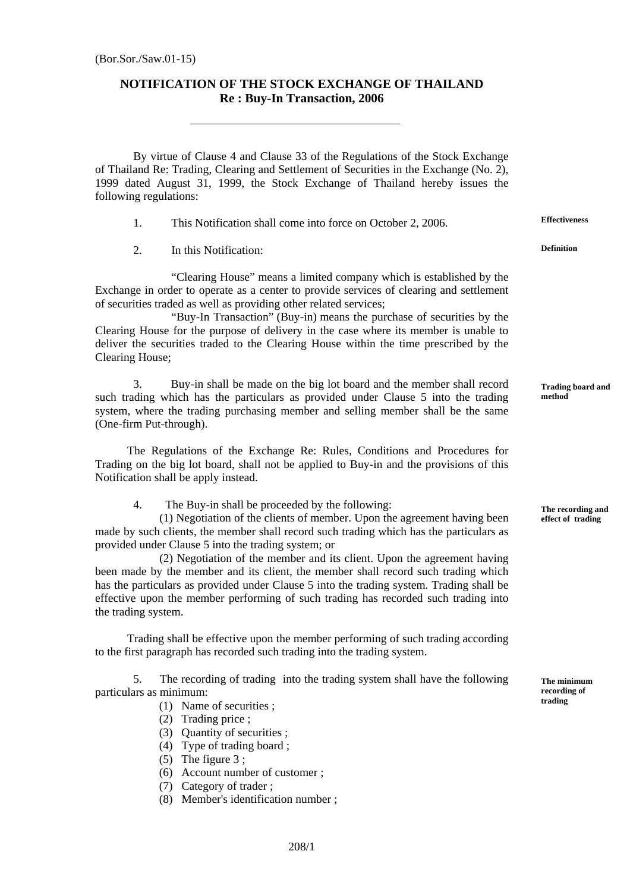## **NOTIFICATION OF THE STOCK EXCHANGE OF THAILAND Re : Buy-In Transaction, 2006**

By virtue of Clause 4 and Clause 33 of the Regulations of the Stock Exchange of Thailand Re: Trading, Clearing and Settlement of Securities in the Exchange (No. 2), 1999 dated August 31, 1999, the Stock Exchange of Thailand hereby issues the following regulations:

1. This Notification shall come into force on October 2, 2006.

2. In this Notification:

"Clearing House" means a limited company which is established by the Exchange in order to operate as a center to provide services of clearing and settlement of securities traded as well as providing other related services;

"Buy-In Transaction" (Buy-in) means the purchase of securities by the Clearing House for the purpose of delivery in the case where its member is unable to deliver the securities traded to the Clearing House within the time prescribed by the Clearing House;

 3. Buy-in shall be made on the big lot board and the member shall record such trading which has the particulars as provided under Clause 5 into the trading system, where the trading purchasing member and selling member shall be the same (One-firm Put-through).

 The Regulations of the Exchange Re: Rules, Conditions and Procedures for Trading on the big lot board, shall not be applied to Buy-in and the provisions of this Notification shall be apply instead.

4. The Buy-in shall be proceeded by the following:

 (1) Negotiation of the clients of member. Upon the agreement having been made by such clients, the member shall record such trading which has the particulars as provided under Clause 5 into the trading system; or

 (2) Negotiation of the member and its client. Upon the agreement having been made by the member and its client, the member shall record such trading which has the particulars as provided under Clause 5 into the trading system. Trading shall be effective upon the member performing of such trading has recorded such trading into the trading system.

 Trading shall be effective upon the member performing of such trading according to the first paragraph has recorded such trading into the trading system.

5. The recording of trading into the trading system shall have the following particulars as minimum:

- (1) Name of securities ;
- (2) Trading price ;
- (3) Quantity of securities ;
- (4) Type of trading board ;
- (5) The figure  $3$  ;
- (6) Account number of customer ;
- (7) Category of trader ;
- (8) Member's identification number ;

**Effectiveness**

**Definition**

**Trading board and method** 

**The recording and effect of trading** 

**The minimum recording of trading**